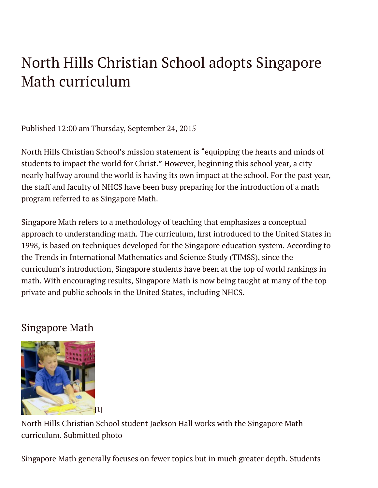## North Hills Christian School adopts Singapore Math curriculum

Published 12:00 am Thursday, September 24, 2015

North Hills Christian School's mission statement is "equipping the hearts and minds of students to impact the world for Christ." However, beginning this school year, a city nearly halfway around the world is having its own impact at the school. For the past year, the staff and faculty of NHCS have been busy preparing for the introduction of a math program referred to as Singapore Math.

Singapore Math refers to a methodology of teaching that emphasizes a conceptual approach to understanding math. The curriculum, ärst introduced to the United States in 1998, is based on techniques developed for the Singapore education system. According to the Trends in International Mathematics and Science Study (TIMSS), since the curriculum's introduction, Singapore students have been at the top of world rankings in math. With encouraging results, Singapore Math is now being taught at many of the top private and public schools in the United States, including NHCS.

## Singapore Math



North Hills Christian School student Jackson Hall works with the Singapore Math curriculum. Submitted photo

Singapore Math generally focuses on fewer topics but in much greater depth. Students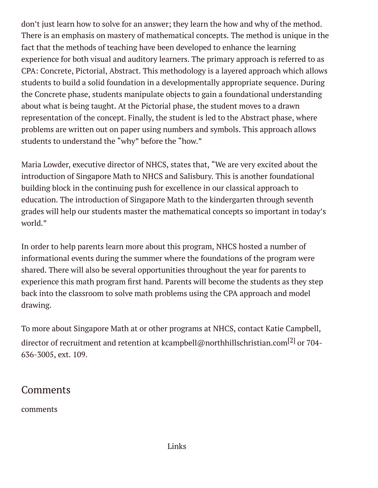don't just learn how to solve for an answer; they learn the how and why of the method. There is an emphasis on mastery of mathematical concepts. The method is unique in the fact that the methods of teaching have been developed to enhance the learning experience for both visual and auditory learners. The primary approach is referred to as CPA: Concrete, Pictorial, Abstract. This methodology is a layered approach which allows students to build a solid foundation in a developmentally appropriate sequence. During the Concrete phase, students manipulate objects to gain a foundational understanding about what is being taught. At the Pictorial phase, the student moves to a drawn representation of the concept. Finally, the student is led to the Abstract phase, where problems are written out on paper using numbers and symbols. This approach allows students to understand the "why" before the "how."

Maria Lowder, executive director of NHCS, states that, "We are very excited about the introduction of Singapore Math to NHCS and Salisbury. This is another foundational building block in the continuing push for excellence in our classical approach to education. The introduction of Singapore Math to the kindergarten through seventh grades will help our students master the mathematical concepts so important in today's world."

In order to help parents learn more about this program, NHCS hosted a number of informational events during the summer where the foundations of the program were shared. There will also be several opportunities throughout the year for parents to experience this math program ärst hand. Parents will become the students as they step back into the classroom to solve math problems using the CPA approach and model drawing.

To more about Singapore Math at or other programs at NHCS, contact Katie Campbell, director of recruitment and retention at [kcampbell@northhillschristian.com](mailto:kcampbell@northhillschristian.com)<sup>[2]</sup> or 704-636-3005, ext. 109.

## **Comments**

comments